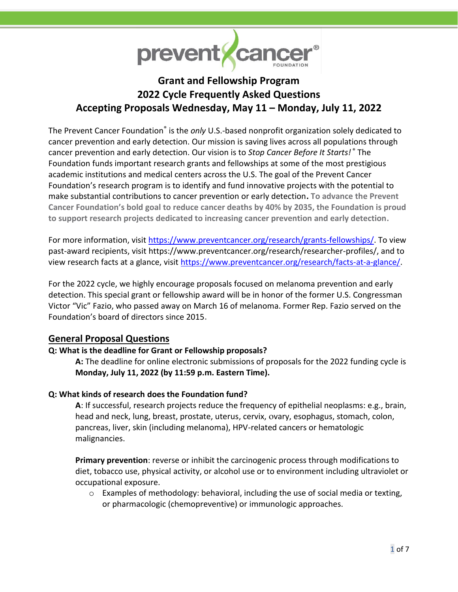

# **Grant and Fellowship Program 2022 Cycle Frequently Asked Questions Accepting Proposals Wednesday, May 11 – Monday, July 11, 2022**

The Prevent Cancer Foundation<sup>®</sup> is the only U.S.-based nonprofit organization solely dedicated to cancer prevention and early detection. Our mission is saving lives across all populations through cancer prevention and early detection. Our vision is to *Stop Cancer Before It Starts!* ® The Foundation funds important research grants and fellowships at some of the most prestigious academic institutions and medical centers across the U.S. The goal of the Prevent Cancer Foundation's research program is to identify and fund innovative projects with the potential to make substantial contributions to cancer prevention or early detection**. To advance the Prevent Cancer Foundation's bold goal to reduce cancer deaths by 40% by 2035, the Foundation is proud to support research projects dedicated to increasing cancer prevention and early detection.**

For more information, visit [https://www.preventcancer.org/research/grants-fellowships/.](https://www.preventcancer.org/research/grants-fellowships/) To view past-award recipients, visit https://www.preventcancer.org/research/researcher-profiles/, and to view research facts at a glance, visit [https://www.preventcancer.org/research/facts-at-a-glance/.](https://www.preventcancer.org/research/facts-at-a-glance/)

For the 2022 cycle, we highly encourage proposals focused on melanoma prevention and early detection. This special grant or fellowship award will be in honor of the former U.S. Congressman Victor "Vic" Fazio, who passed away on March 16 of melanoma. Former Rep. Fazio served on the Foundation's board of directors since 2015**.**

# **General Proposal Questions**

# **Q: What is the deadline for Grant or Fellowship proposals?**

**A:** The deadline for online electronic submissions of proposals for the 2022 funding cycle is **Monday, July 11, 2022 (by 11:59 p.m. Eastern Time).**

#### **Q: What kinds of research does the Foundation fund?**

**A**: If successful, research projects reduce the frequency of epithelial neoplasms: e.g., brain, head and neck, lung, breast, prostate, uterus, cervix, ovary, esophagus, stomach, colon, pancreas, liver, skin (including melanoma), HPV-related cancers or hematologic malignancies.

**Primary prevention**: reverse or inhibit the carcinogenic process through modifications to diet, tobacco use, physical activity, or alcohol use or to environment including ultraviolet or occupational exposure.

o Examples of methodology: behavioral, including the use of social media or texting, or pharmacologic (chemopreventive) or immunologic approaches.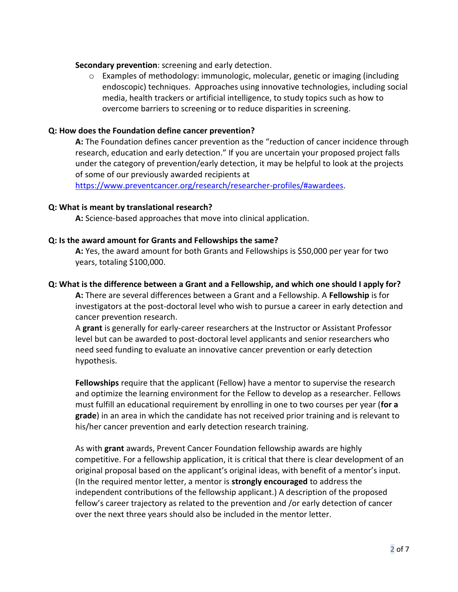#### **Secondary prevention**: screening and early detection.

 $\circ$  Examples of methodology: immunologic, molecular, genetic or imaging (including endoscopic) techniques. Approaches using innovative technologies, including social media, health trackers or artificial intelligence, to study topics such as how to overcome barriers to screening or to reduce disparities in screening.

#### **Q: How does the Foundation define cancer prevention?**

**A:** The Foundation defines cancer prevention as the "reduction of cancer incidence through research, education and early detection." If you are uncertain your proposed project falls under the category of prevention/early detection, it may be helpful to look at the projects of some of our previously awarded recipients at

[https://www.preventcancer.org/research/researcher-profiles/#awardees.](https://www.preventcancer.org/research/researcher-profiles/#awardees)

#### **Q: What is meant by translational research?**

**A:** Science-based approaches that move into clinical application.

#### **Q: Is the award amount for Grants and Fellowships the same?**

**A:** Yes, the award amount for both Grants and Fellowships is \$50,000 per year for two years, totaling \$100,000.

#### **Q: What is the difference between a Grant and a Fellowship, and which one should I apply for?**

**A:** There are several differences between a Grant and a Fellowship. A **Fellowship** is for investigators at the post-doctoral level who wish to pursue a career in early detection and cancer prevention research.

A **grant** is generally for early-career researchers at the Instructor or Assistant Professor level but can be awarded to post-doctoral level applicants and senior researchers who need seed funding to evaluate an innovative cancer prevention or early detection hypothesis.

**Fellowships** require that the applicant (Fellow) have a mentor to supervise the research and optimize the learning environment for the Fellow to develop as a researcher. Fellows must fulfill an educational requirement by enrolling in one to two courses per year (**for a grade**) in an area in which the candidate has not received prior training and is relevant to his/her cancer prevention and early detection research training.

As with **grant** awards, Prevent Cancer Foundation fellowship awards are highly competitive. For a fellowship application, it is critical that there is clear development of an original proposal based on the applicant's original ideas, with benefit of a mentor's input. (In the required mentor letter, a mentor is **strongly encouraged** to address the independent contributions of the fellowship applicant.) A description of the proposed fellow's career trajectory as related to the prevention and /or early detection of cancer over the next three years should also be included in the mentor letter.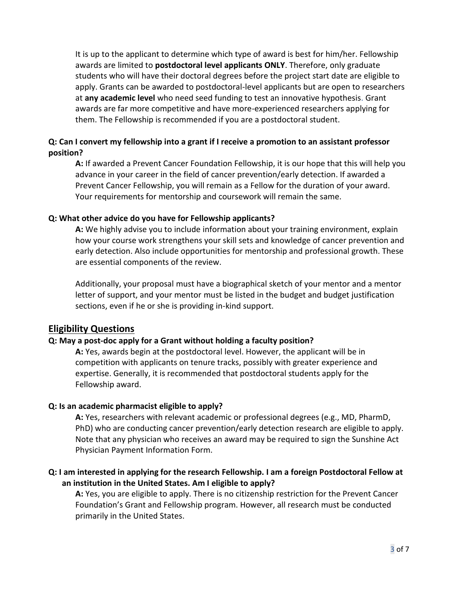It is up to the applicant to determine which type of award is best for him/her. Fellowship awards are limited to **postdoctoral level applicants ONLY**. Therefore, only graduate students who will have their doctoral degrees before the project start date are eligible to apply. Grants can be awarded to postdoctoral-level applicants but are open to researchers at **any academic level** who need seed funding to test an innovative hypothesis. Grant awards are far more competitive and have more-experienced researchers applying for them. The Fellowship is recommended if you are a postdoctoral student.

# **Q: Can I convert my fellowship into a grant if I receive a promotion to an assistant professor position?**

**A:** If awarded a Prevent Cancer Foundation Fellowship, it is our hope that this will help you advance in your career in the field of cancer prevention/early detection. If awarded a Prevent Cancer Fellowship, you will remain as a Fellow for the duration of your award. Your requirements for mentorship and coursework will remain the same.

#### **Q: What other advice do you have for Fellowship applicants?**

**A:** We highly advise you to include information about your training environment, explain how your course work strengthens your skill sets and knowledge of cancer prevention and early detection. Also include opportunities for mentorship and professional growth. These are essential components of the review.

Additionally, your proposal must have a biographical sketch of your mentor and a mentor letter of support, and your mentor must be listed in the budget and budget justification sections, even if he or she is providing in-kind support.

# **Eligibility Questions**

# **Q: May a post-doc apply for a Grant without holding a faculty position?**

**A:** Yes, awards begin at the postdoctoral level. However, the applicant will be in competition with applicants on tenure tracks, possibly with greater experience and expertise. Generally, it is recommended that postdoctoral students apply for the Fellowship award.

# **Q: Is an academic pharmacist eligible to apply?**

**A:** Yes, researchers with relevant academic or professional degrees (e.g., MD, PharmD, PhD) who are conducting cancer prevention/early detection research are eligible to apply. Note that any physician who receives an award may be required to sign the Sunshine Act Physician Payment Information Form.

# **Q: I am interested in applying for the research Fellowship. I am a foreign Postdoctoral Fellow at an institution in the United States. Am I eligible to apply?**

**A:** Yes, you are eligible to apply. There is no citizenship restriction for the Prevent Cancer Foundation's Grant and Fellowship program. However, all research must be conducted primarily in the United States.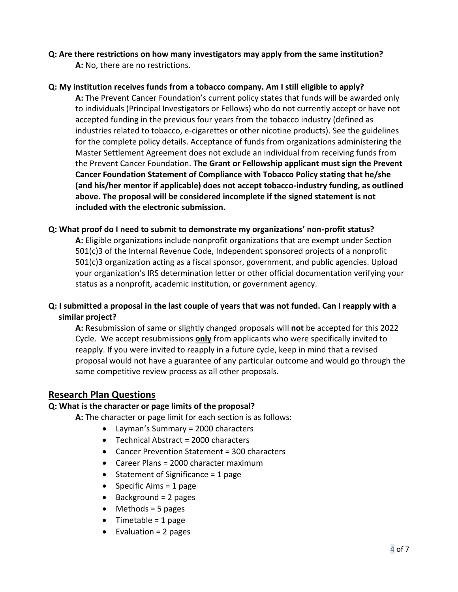**Q: Are there restrictions on how many investigators may apply from the same institution? A:** No, there are no restrictions.

# **Q: My institution receives funds from a tobacco company. Am I still eligible to apply?**

**A:** The Prevent Cancer Foundation's current policy states that funds will be awarded only to individuals (Principal Investigators or Fellows) who do not currently accept or have not accepted funding in the previous four years from the tobacco industry (defined as industries related to tobacco, e-cigarettes or other nicotine products). See the guidelines for the complete policy details. Acceptance of funds from organizations administering the Master Settlement Agreement does not exclude an individual from receiving funds from the Prevent Cancer Foundation. **The Grant or Fellowship applicant must sign the Prevent Cancer Foundation Statement of Compliance with Tobacco Policy stating that he/she (and his/her mentor if applicable) does not accept tobacco-industry funding, as outlined above. The proposal will be considered incomplete if the signed statement is not included with the electronic submission.** 

#### **Q: What proof do I need to submit to demonstrate my organizations' non-profit status?**

**A:** Eligible organizations include nonprofit organizations that are exempt under Section 501(c)3 of the Internal Revenue Code, Independent sponsored projects of a nonprofit 501(c)3 organization acting as a fiscal sponsor, government, and public agencies. Upload your organization's IRS determination letter or other official documentation verifying your status as a nonprofit, academic institution, or government agency.

# **Q: I submitted a proposal in the last couple of years that was not funded. Can I reapply with a similar project?**

**A:** Resubmission of same or slightly changed proposals will **not** be accepted for this 2022 Cycle. We accept resubmissions **only** from applicants who were specifically invited to reapply. If you were invited to reapply in a future cycle, keep in mind that a revised proposal would not have a guarantee of any particular outcome and would go through the same competitive review process as all other proposals.

# **Research Plan Questions**

#### **Q: What is the character or page limits of the proposal?**

**A:** The character or page limit for each section is as follows:

- Layman's Summary = 2000 characters
- Technical Abstract = 2000 characters
- Cancer Prevention Statement = 300 characters
- Career Plans = 2000 character maximum
- Statement of Significance = 1 page
- Specific Aims  $= 1$  page
- Background = 2 pages
- $\bullet$  Methods = 5 pages
- Timetable = 1 page
- $\bullet$  Evaluation = 2 pages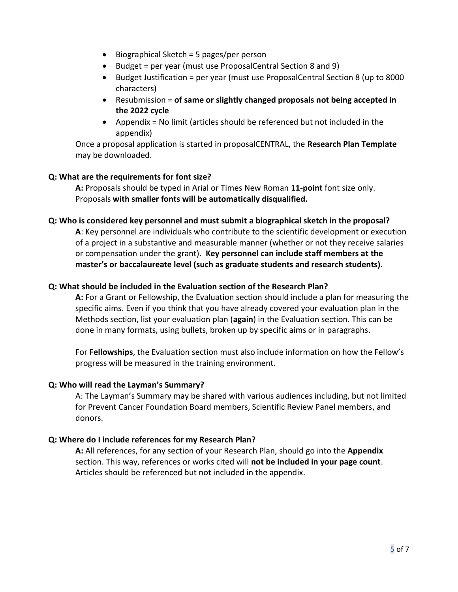- Biographical Sketch = 5 pages/per person
- Budget = per year (must use ProposalCentral Section 8 and 9)
- Budget Justification = per year (must use ProposalCentral Section 8 (up to 8000 characters)
- Resubmission = **of same or slightly changed proposals not being accepted in the 2022 cycle**
- Appendix = No limit (articles should be referenced but not included in the appendix)

Once a proposal application is started in proposalCENTRAL, the **Research Plan Template** may be downloaded.

# **Q: What are the requirements for font size?**

**A:** Proposals should be typed in Arial or Times New Roman **11-point** font size only. Proposals **with smaller fonts will be automatically disqualified.**

#### **Q: Who is considered key personnel and must submit a biographical sketch in the proposal?**

**A**: Key personnel are individuals who contribute to the scientific development or execution of a project in a substantive and measurable manner (whether or not they receive salaries or compensation under the grant). **Key personnel can include staff members at the master's or baccalaureate level (such as graduate students and research students).** 

#### **Q: What should be included in the Evaluation section of the Research Plan?**

**A:** For a Grant or Fellowship, the Evaluation section should include a plan for measuring the specific aims. Even if you think that you have already covered your evaluation plan in the Methods section, list your evaluation plan (**again**) in the Evaluation section. This can be done in many formats, using bullets, broken up by specific aims or in paragraphs.

For **Fellowships**, the Evaluation section must also include information on how the Fellow's progress will be measured in the training environment.

#### **Q: Who will read the Layman's Summary?**

A: The Layman's Summary may be shared with various audiences including, but not limited for Prevent Cancer Foundation Board members, Scientific Review Panel members, and donors.

#### **Q: Where do I include references for my Research Plan?**

**A:** All references, for any section of your Research Plan, should go into the **Appendix** section. This way, references or works cited will **not be included in your page count**. Articles should be referenced but not included in the appendix.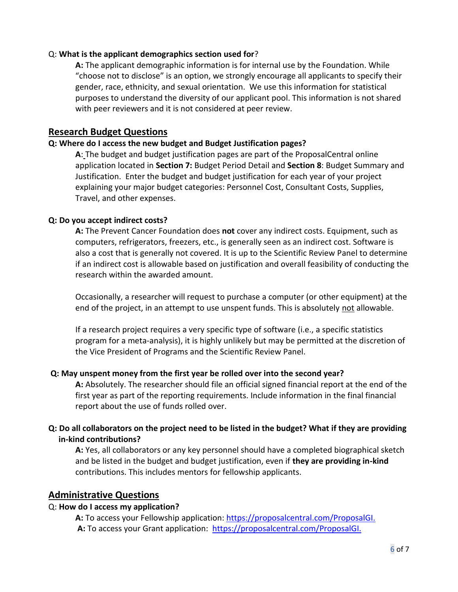#### Q: **What is the applicant demographics section used for**?

**A:** The applicant demographic information is for internal use by the Foundation. While "choose not to disclose" is an option, we strongly encourage all applicants to specify their gender, race, ethnicity, and sexual orientation. We use this information for statistical purposes to understand the diversity of our applicant pool. This information is not shared with peer reviewers and it is not considered at peer review.

# **Research Budget Questions**

#### **Q: Where do I access the new budget and Budget Justification pages?**

**A**: The budget and budget justification pages are part of the ProposalCentral online application located in **Section 7:** Budget Period Detail and **Section 8**: Budget Summary and Justification. Enter the budget and budget justification for each year of your project explaining your major budget categories: Personnel Cost, Consultant Costs, Supplies, Travel, and other expenses.

#### **Q: Do you accept indirect costs?**

**A:** The Prevent Cancer Foundation does **not** cover any indirect costs. Equipment, such as computers, refrigerators, freezers, etc., is generally seen as an indirect cost. Software is also a cost that is generally not covered. It is up to the Scientific Review Panel to determine if an indirect cost is allowable based on justification and overall feasibility of conducting the research within the awarded amount.

Occasionally, a researcher will request to purchase a computer (or other equipment) at the end of the project, in an attempt to use unspent funds. This is absolutely not allowable.

If a research project requires a very specific type of software (i.e., a specific statistics program for a meta-analysis), it is highly unlikely but may be permitted at the discretion of the Vice President of Programs and the Scientific Review Panel.

#### **Q: May unspent money from the first year be rolled over into the second year?**

**A:** Absolutely. The researcher should file an official signed financial report at the end of the first year as part of the reporting requirements. Include information in the final financial report about the use of funds rolled over.

# **Q: Do all collaborators on the project need to be listed in the budget? What if they are providing in-kind contributions?**

**A:** Yes, all collaborators or any key personnel should have a completed biographical sketch and be listed in the budget and budget justification, even if **they are providing in-kind** contributions. This includes mentors for fellowship applicants.

#### **Administrative Questions**

#### Q: **How do I access my application?**

A: To access your Fellowship application[: https://proposalcentral.com/ProposalGI.](https://proposalcentral.com/ProposalGI.asp?SectionID=333&ProposalID=-1) **A:** To access your Grant application: [https://proposalcentral.com/ProposalGI.](https://proposalcentral.com/ProposalGI.asp?SectionID=332&ProposalID=-1)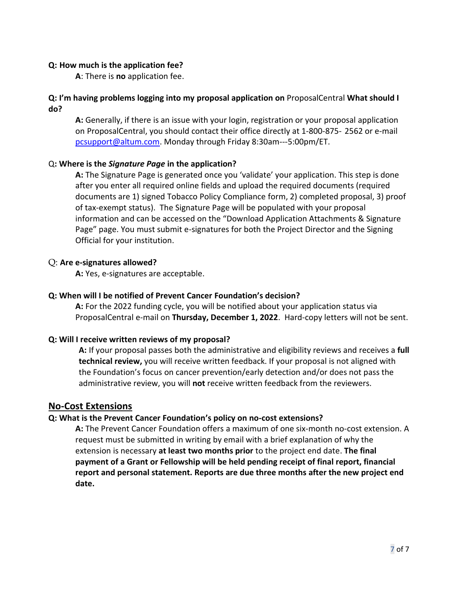#### **Q: How much is the application fee?**

**A**: There is **no** application fee.

# **Q: I'm having problems logging into my proposal application on** ProposalCentral **What should I do?**

**A:** Generally, if there is an issue with your login, registration or your proposal application on ProposalCentral, you should contact their office directly at 1-800-875- 2562 or e-mail [pcsupport@altum.com.](mailto:pcsupport@altum.com) Monday through Friday 8:30am---5:00pm/ET.

# Q**: Where is the** *Signature Page* **in the application?**

**A:** The Signature Page is generated once you 'validate' your application. This step is done after you enter all required online fields and upload the required documents (required documents are 1) signed Tobacco Policy Compliance form, 2) completed proposal, 3) proof of tax-exempt status). The Signature Page will be populated with your proposal information and can be accessed on the "Download Application Attachments & Signature Page" page. You must submit e-signatures for both the Project Director and the Signing Official for your institution.

# Q: **Are e-signatures allowed?**

**A:** Yes, e-signatures are acceptable.

# **Q: When will I be notified of Prevent Cancer Foundation's decision?**

**A:** For the 2022 funding cycle, you will be notified about your application status via ProposalCentral e-mail on **Thursday, December 1, 2022**. Hard-copy letters will not be sent.

# **Q: Will I receive written reviews of my proposal?**

**A:** If your proposal passes both the administrative and eligibility reviews and receives a **full technical review,** you will receive written feedback. If your proposal is not aligned with the Foundation's focus on cancer prevention/early detection and/or does not pass the administrative review, you will **not** receive written feedback from the reviewers.

# **No-Cost Extensions**

#### **Q: What is the Prevent Cancer Foundation's policy on no-cost extensions?**

**A:** The Prevent Cancer Foundation offers a maximum of one six-month no-cost extension. A request must be submitted in writing by email with a brief explanation of why the extension is necessary **at least two months prior** to the project end date. **The final payment of a Grant or Fellowship will be held pending receipt of final report, financial report and personal statement. Reports are due three months after the new project end date.**